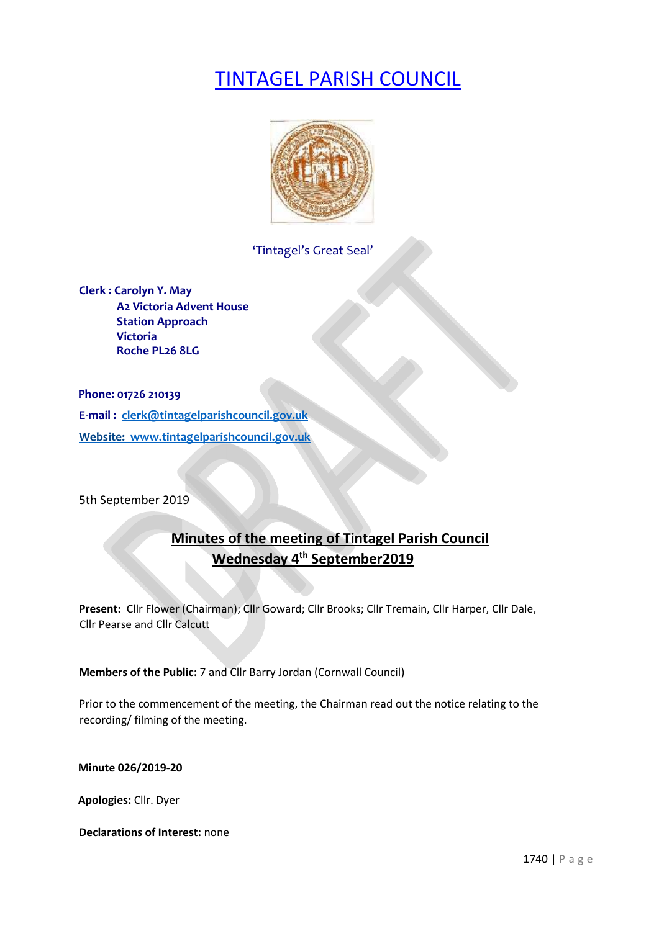# TINTAGEL PARISH COUNCIL



# 'Tintagel's Great Seal'

**Clerk : Carolyn Y. May A2 Victoria Advent House Station Approach Victoria Roche PL26 8LG**

**Phone: 01726 210139 E-mail : clerk@tintagelparishcouncil.gov.uk Website: www.tintagelparishcouncil.gov.uk** 

5th September 2019

# **Minutes of the meeting of Tintagel Parish Council Wednesday 4 th September2019**

**Present:** Cllr Flower (Chairman); Cllr Goward; Cllr Brooks; Cllr Tremain, Cllr Harper, Cllr Dale, Cllr Pearse and Cllr Calcutt

**Members of the Public:** 7 and Cllr Barry Jordan (Cornwall Council)

Prior to the commencement of the meeting, the Chairman read out the notice relating to the recording/ filming of the meeting.

**Minute 026/2019-20** 

**Apologies:** Cllr. Dyer

**Declarations of Interest:** none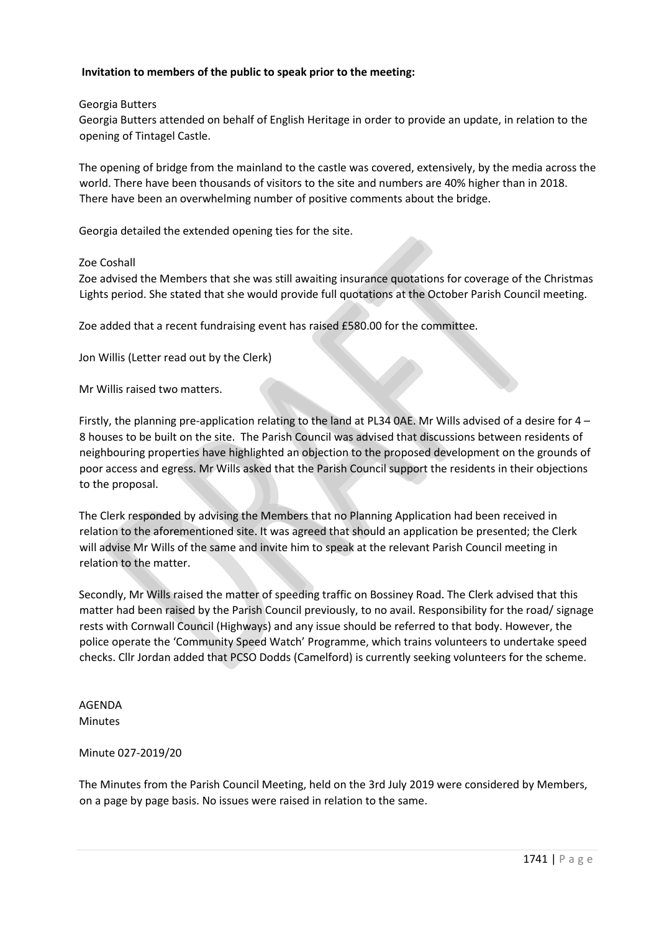## **Invitation to members of the public to speak prior to the meeting:**

Georgia Butters

Georgia Butters attended on behalf of English Heritage in order to provide an update, in relation to the opening of Tintagel Castle.

The opening of bridge from the mainland to the castle was covered, extensively, by the media across the world. There have been thousands of visitors to the site and numbers are 40% higher than in 2018. There have been an overwhelming number of positive comments about the bridge.

Georgia detailed the extended opening ties for the site.

#### Zoe Coshall

Zoe advised the Members that she was still awaiting insurance quotations for coverage of the Christmas Lights period. She stated that she would provide full quotations at the October Parish Council meeting.

Zoe added that a recent fundraising event has raised £580.00 for the committee.

Jon Willis (Letter read out by the Clerk)

Mr Willis raised two matters.

Firstly, the planning pre-application relating to the land at PL34 0AE. Mr Wills advised of a desire for 4 – 8 houses to be built on the site. The Parish Council was advised that discussions between residents of neighbouring properties have highlighted an objection to the proposed development on the grounds of poor access and egress. Mr Wills asked that the Parish Council support the residents in their objections to the proposal.

The Clerk responded by advising the Members that no Planning Application had been received in relation to the aforementioned site. It was agreed that should an application be presented; the Clerk will advise Mr Wills of the same and invite him to speak at the relevant Parish Council meeting in relation to the matter.

Secondly, Mr Wills raised the matter of speeding traffic on Bossiney Road. The Clerk advised that this matter had been raised by the Parish Council previously, to no avail. Responsibility for the road/ signage rests with Cornwall Council (Highways) and any issue should be referred to that body. However, the police operate the 'Community Speed Watch' Programme, which trains volunteers to undertake speed checks. Cllr Jordan added that PCSO Dodds (Camelford) is currently seeking volunteers for the scheme.

AGENDA Minutes

#### Minute 027-2019/20

The Minutes from the Parish Council Meeting, held on the 3rd July 2019 were considered by Members, on a page by page basis. No issues were raised in relation to the same.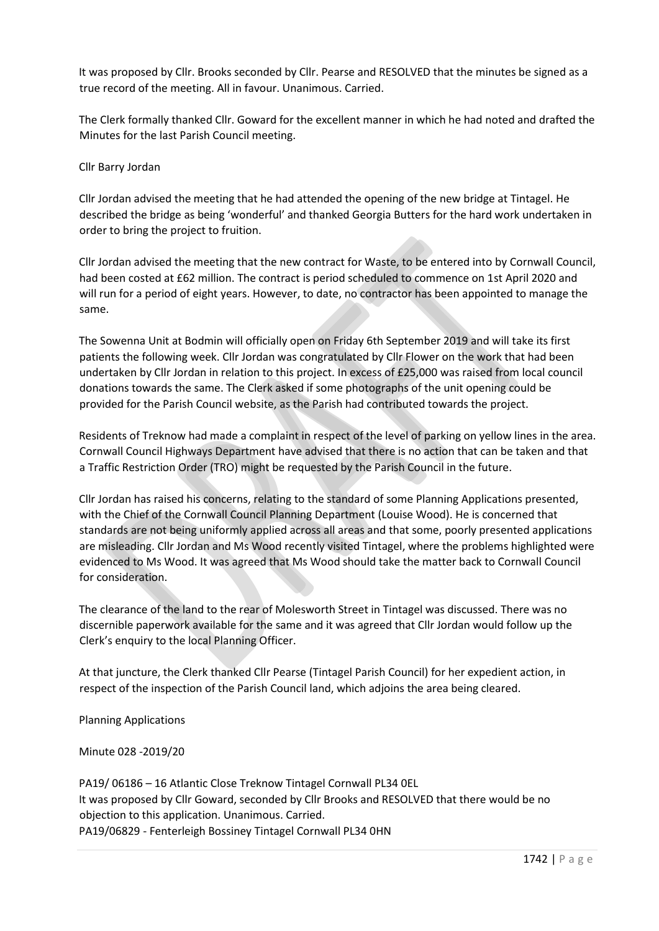It was proposed by Cllr. Brooks seconded by Cllr. Pearse and RESOLVED that the minutes be signed as a true record of the meeting. All in favour. Unanimous. Carried.

The Clerk formally thanked Cllr. Goward for the excellent manner in which he had noted and drafted the Minutes for the last Parish Council meeting.

#### Cllr Barry Jordan

Cllr Jordan advised the meeting that he had attended the opening of the new bridge at Tintagel. He described the bridge as being 'wonderful' and thanked Georgia Butters for the hard work undertaken in order to bring the project to fruition.

Cllr Jordan advised the meeting that the new contract for Waste, to be entered into by Cornwall Council, had been costed at £62 million. The contract is period scheduled to commence on 1st April 2020 and will run for a period of eight years. However, to date, no contractor has been appointed to manage the same.

The Sowenna Unit at Bodmin will officially open on Friday 6th September 2019 and will take its first patients the following week. Cllr Jordan was congratulated by Cllr Flower on the work that had been undertaken by Cllr Jordan in relation to this project. In excess of £25,000 was raised from local council donations towards the same. The Clerk asked if some photographs of the unit opening could be provided for the Parish Council website, as the Parish had contributed towards the project.

Residents of Treknow had made a complaint in respect of the level of parking on yellow lines in the area. Cornwall Council Highways Department have advised that there is no action that can be taken and that a Traffic Restriction Order (TRO) might be requested by the Parish Council in the future.

Cllr Jordan has raised his concerns, relating to the standard of some Planning Applications presented, with the Chief of the Cornwall Council Planning Department (Louise Wood). He is concerned that standards are not being uniformly applied across all areas and that some, poorly presented applications are misleading. Cllr Jordan and Ms Wood recently visited Tintagel, where the problems highlighted were evidenced to Ms Wood. It was agreed that Ms Wood should take the matter back to Cornwall Council for consideration.

The clearance of the land to the rear of Molesworth Street in Tintagel was discussed. There was no discernible paperwork available for the same and it was agreed that Cllr Jordan would follow up the Clerk's enquiry to the local Planning Officer.

At that juncture, the Clerk thanked Cllr Pearse (Tintagel Parish Council) for her expedient action, in respect of the inspection of the Parish Council land, which adjoins the area being cleared.

Planning Applications

Minute 028 -2019/20

PA19/ 06186 – 16 Atlantic Close Treknow Tintagel Cornwall PL34 0EL It was proposed by Cllr Goward, seconded by Cllr Brooks and RESOLVED that there would be no objection to this application. Unanimous. Carried. PA19/06829 - Fenterleigh Bossiney Tintagel Cornwall PL34 0HN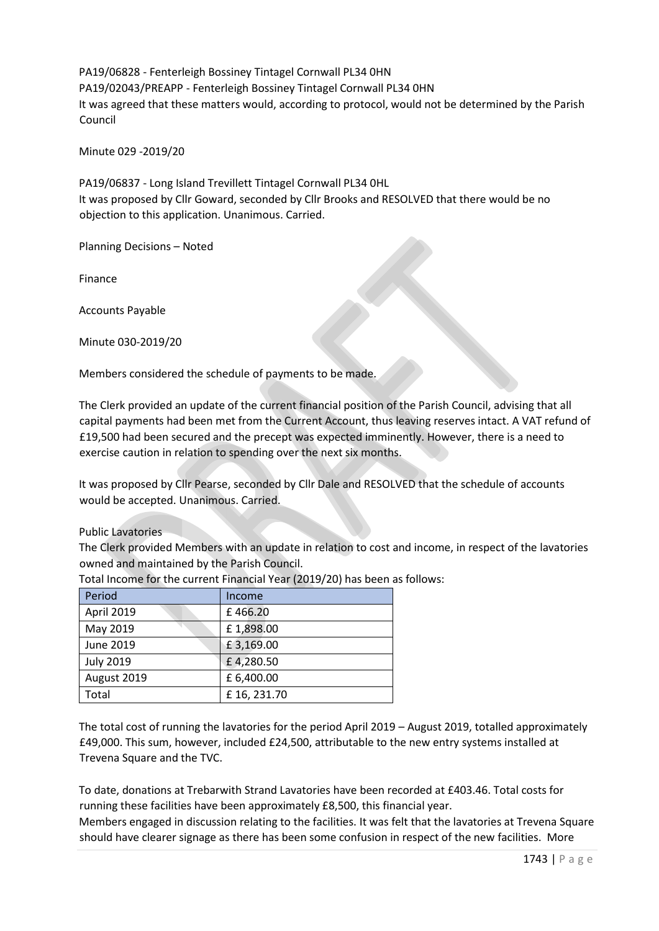PA19/06828 - Fenterleigh Bossiney Tintagel Cornwall PL34 0HN PA19/02043/PREAPP - Fenterleigh Bossiney Tintagel Cornwall PL34 0HN It was agreed that these matters would, according to protocol, would not be determined by the Parish Council

Minute 029 -2019/20

PA19/06837 - Long Island Trevillett Tintagel Cornwall PL34 0HL It was proposed by Cllr Goward, seconded by Cllr Brooks and RESOLVED that there would be no objection to this application. Unanimous. Carried.

Planning Decisions – Noted

Finance

Accounts Payable

Minute 030-2019/20

Members considered the schedule of payments to be made.

The Clerk provided an update of the current financial position of the Parish Council, advising that all capital payments had been met from the Current Account, thus leaving reserves intact. A VAT refund of £19,500 had been secured and the precept was expected imminently. However, there is a need to exercise caution in relation to spending over the next six months.

It was proposed by Cllr Pearse, seconded by Cllr Dale and RESOLVED that the schedule of accounts would be accepted. Unanimous. Carried.

#### Public Lavatories

The Clerk provided Members with an update in relation to cost and income, in respect of the lavatories owned and maintained by the Parish Council.

| Period           | Income     |
|------------------|------------|
| April 2019       | £466.20    |
| May 2019         | £1,898.00  |
| June 2019        | £3,169.00  |
| <b>July 2019</b> | £4,280.50  |
| August 2019      | £ 6,400.00 |
| Total            | £16,231.70 |

Total Income for the current Financial Year (2019/20) has been as follows:

The total cost of running the lavatories for the period April 2019 – August 2019, totalled approximately £49,000. This sum, however, included £24,500, attributable to the new entry systems installed at Trevena Square and the TVC.

To date, donations at Trebarwith Strand Lavatories have been recorded at £403.46. Total costs for running these facilities have been approximately £8,500, this financial year.

Members engaged in discussion relating to the facilities. It was felt that the lavatories at Trevena Square should have clearer signage as there has been some confusion in respect of the new facilities. More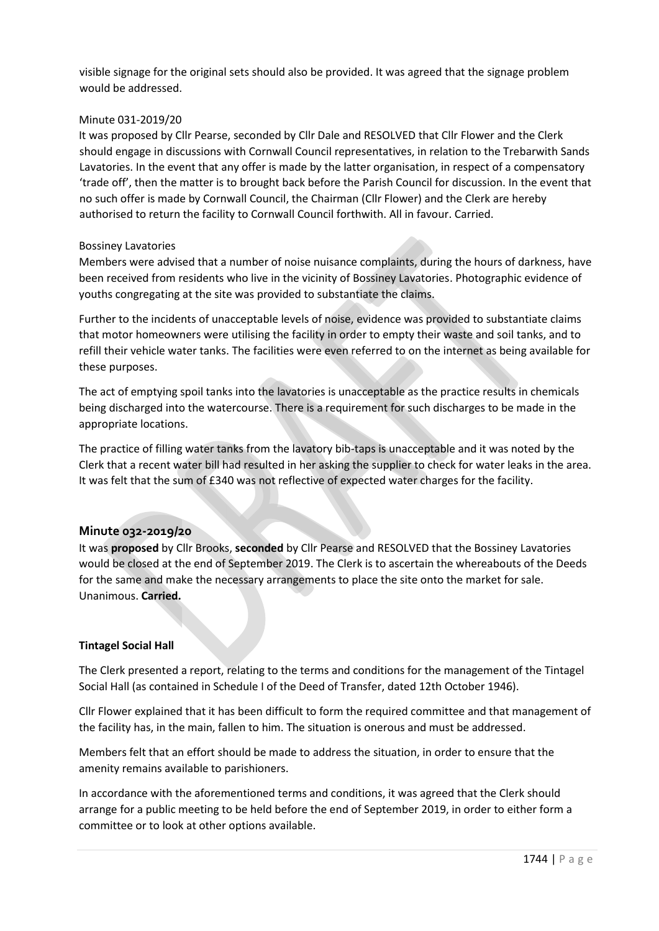visible signage for the original sets should also be provided. It was agreed that the signage problem would be addressed.

#### Minute 031-2019/20

It was proposed by Cllr Pearse, seconded by Cllr Dale and RESOLVED that Cllr Flower and the Clerk should engage in discussions with Cornwall Council representatives, in relation to the Trebarwith Sands Lavatories. In the event that any offer is made by the latter organisation, in respect of a compensatory 'trade off', then the matter is to brought back before the Parish Council for discussion. In the event that no such offer is made by Cornwall Council, the Chairman (Cllr Flower) and the Clerk are hereby authorised to return the facility to Cornwall Council forthwith. All in favour. Carried.

#### Bossiney Lavatories

Members were advised that a number of noise nuisance complaints, during the hours of darkness, have been received from residents who live in the vicinity of Bossiney Lavatories. Photographic evidence of youths congregating at the site was provided to substantiate the claims.

Further to the incidents of unacceptable levels of noise, evidence was provided to substantiate claims that motor homeowners were utilising the facility in order to empty their waste and soil tanks, and to refill their vehicle water tanks. The facilities were even referred to on the internet as being available for these purposes.

The act of emptying spoil tanks into the lavatories is unacceptable as the practice results in chemicals being discharged into the watercourse. There is a requirement for such discharges to be made in the appropriate locations.

The practice of filling water tanks from the lavatory bib-taps is unacceptable and it was noted by the Clerk that a recent water bill had resulted in her asking the supplier to check for water leaks in the area. It was felt that the sum of £340 was not reflective of expected water charges for the facility.

# **Minute 032-2019/20**

It was **proposed** by Cllr Brooks, **seconded** by Cllr Pearse and RESOLVED that the Bossiney Lavatories would be closed at the end of September 2019. The Clerk is to ascertain the whereabouts of the Deeds for the same and make the necessary arrangements to place the site onto the market for sale. Unanimous. **Carried.**

#### **Tintagel Social Hall**

The Clerk presented a report, relating to the terms and conditions for the management of the Tintagel Social Hall (as contained in Schedule I of the Deed of Transfer, dated 12th October 1946).

Cllr Flower explained that it has been difficult to form the required committee and that management of the facility has, in the main, fallen to him. The situation is onerous and must be addressed.

Members felt that an effort should be made to address the situation, in order to ensure that the amenity remains available to parishioners.

In accordance with the aforementioned terms and conditions, it was agreed that the Clerk should arrange for a public meeting to be held before the end of September 2019, in order to either form a committee or to look at other options available.